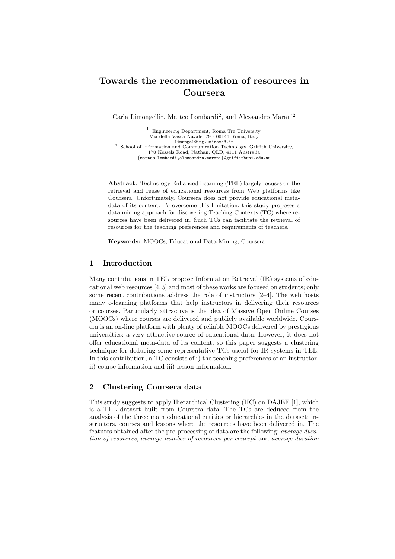# **Towards the recommendation of resources in Coursera**

Carla Limongelli<sup>1</sup>, Matteo Lombardi<sup>2</sup>, and Alessandro Marani<sup>2</sup>

<sup>1</sup> Engineering Department, Roma Tre University, Via della Vasca Navale, 79 - 00146 Roma, Italy limongel@ing.uniroma3.it <sup>2</sup> School of Information and Communication Technology, Griffith University, 170 Kessels Road, Nathan, QLD, 4111 Australia *{*matteo.lombardi,alessandro.marani*}*@griffithuni.edu.au

**Abstract.** Technology Enhanced Learning (TEL) largely focuses on the retrieval and reuse of educational resources from Web platforms like Coursera. Unfortunately, Coursera does not provide educational metadata of its content. To overcome this limitation, this study proposes a data mining approach for discovering Teaching Contexts (TC) where resources have been delivered in. Such TCs can facilitate the retrieval of resources for the teaching preferences and requirements of teachers.

**Keywords:** MOOCs, Educational Data Mining, Coursera

## **1 Introduction**

Many contributions in TEL propose Information Retrieval (IR) systems of educational web resources [4, 5] and most of these works are focused on students; only some recent contributions address the role of instructors [2–4]. The web hosts many e-learning platforms that help instructors in delivering their resources or courses. Particularly attractive is the idea of Massive Open Online Courses (MOOCs) where courses are delivered and publicly available worldwide. Coursera is an on-line platform with plenty of reliable MOOCs delivered by prestigious universities: a very attractive source of educational data. However, it does not offer educational meta-data of its content, so this paper suggests a clustering technique for deducing some representative TCs useful for IR systems in TEL. In this contribution, a TC consists of i) the teaching preferences of an instructor, ii) course information and iii) lesson information.

# **2 Clustering Coursera data**

This study suggests to apply Hierarchical Clustering (HC) on DAJEE [1], which is a TEL dataset built from Coursera data. The TCs are deduced from the analysis of the three main educational entities or hierarchies in the dataset: instructors, courses and lessons where the resources have been delivered in. The features obtained after the pre-processing of data are the following: *average duration of resources*, *average number of resources per concept* and *average duration*